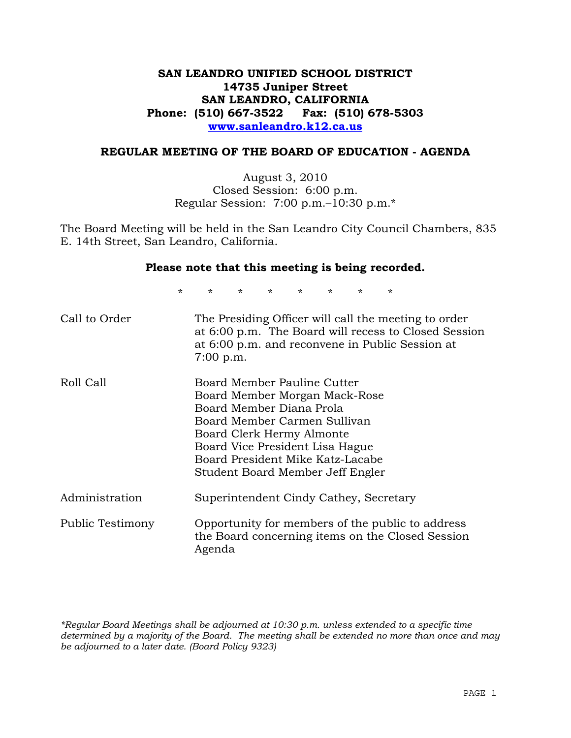# **SAN LEANDRO UNIFIED SCHOOL DISTRICT 14735 Juniper Street SAN LEANDRO, CALIFORNIA Phone: (510) 667-3522 Fax: (510) 678-5303 www.sanleandro.k12.ca.us**

## **REGULAR MEETING OF THE BOARD OF EDUCATION - AGENDA**

August 3, 2010 Closed Session: 6:00 p.m. Regular Session: 7:00 p.m.–10:30 p.m.\*

The Board Meeting will be held in the San Leandro City Council Chambers, 835 E. 14th Street, San Leandro, California.

#### **Please note that this meeting is being recorded.**

\* \* \* \* \* \* \* \*

| Call to Order    | The Presiding Officer will call the meeting to order<br>at 6:00 p.m. The Board will recess to Closed Session<br>at 6:00 p.m. and reconvene in Public Session at<br>$7:00$ p.m.                                                                                   |
|------------------|------------------------------------------------------------------------------------------------------------------------------------------------------------------------------------------------------------------------------------------------------------------|
| Roll Call        | Board Member Pauline Cutter<br>Board Member Morgan Mack-Rose<br>Board Member Diana Prola<br>Board Member Carmen Sullivan<br>Board Clerk Hermy Almonte<br>Board Vice President Lisa Hague<br>Board President Mike Katz-Lacabe<br>Student Board Member Jeff Engler |
| Administration   | Superintendent Cindy Cathey, Secretary                                                                                                                                                                                                                           |
| Public Testimony | Opportunity for members of the public to address<br>the Board concerning items on the Closed Session<br>Agenda                                                                                                                                                   |

*\*Regular Board Meetings shall be adjourned at 10:30 p.m. unless extended to a specific time determined by a majority of the Board. The meeting shall be extended no more than once and may be adjourned to a later date. (Board Policy 9323)*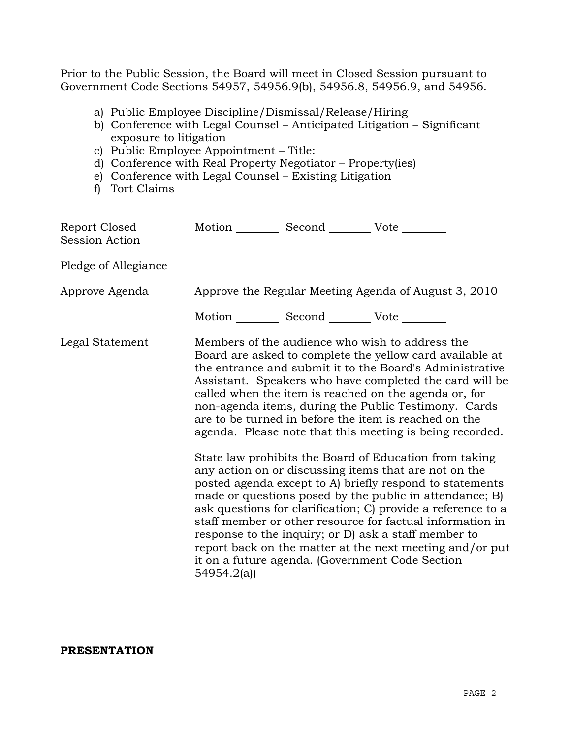Prior to the Public Session, the Board will meet in Closed Session pursuant to Government Code Sections 54957, 54956.9(b), 54956.8, 54956.9, and 54956.

- a) Public Employee Discipline/Dismissal/Release/Hiring
- b) Conference with Legal Counsel Anticipated Litigation Significant exposure to litigation
- c) Public Employee Appointment Title:
- d) Conference with Real Property Negotiator Property(ies)
- e) Conference with Legal Counsel Existing Litigation
- f) Tort Claims

| Report Closed<br>Session Action | Motion __________ Second __________ Vote ________                                                                                                                                                                                                                                                                                                                                                                                                                                                                                                                                                                                                                                                                                                                                                                                                                                                                                                                                                                                                                                         |  |  |
|---------------------------------|-------------------------------------------------------------------------------------------------------------------------------------------------------------------------------------------------------------------------------------------------------------------------------------------------------------------------------------------------------------------------------------------------------------------------------------------------------------------------------------------------------------------------------------------------------------------------------------------------------------------------------------------------------------------------------------------------------------------------------------------------------------------------------------------------------------------------------------------------------------------------------------------------------------------------------------------------------------------------------------------------------------------------------------------------------------------------------------------|--|--|
| Pledge of Allegiance            |                                                                                                                                                                                                                                                                                                                                                                                                                                                                                                                                                                                                                                                                                                                                                                                                                                                                                                                                                                                                                                                                                           |  |  |
| Approve Agenda                  | Approve the Regular Meeting Agenda of August 3, 2010                                                                                                                                                                                                                                                                                                                                                                                                                                                                                                                                                                                                                                                                                                                                                                                                                                                                                                                                                                                                                                      |  |  |
|                                 |                                                                                                                                                                                                                                                                                                                                                                                                                                                                                                                                                                                                                                                                                                                                                                                                                                                                                                                                                                                                                                                                                           |  |  |
| Legal Statement                 | Motion __________ Second __________ Vote ________<br>Members of the audience who wish to address the<br>Board are asked to complete the yellow card available at<br>the entrance and submit it to the Board's Administrative<br>Assistant. Speakers who have completed the card will be<br>called when the item is reached on the agenda or, for<br>non-agenda items, during the Public Testimony. Cards<br>are to be turned in before the item is reached on the<br>agenda. Please note that this meeting is being recorded.<br>State law prohibits the Board of Education from taking<br>any action on or discussing items that are not on the<br>posted agenda except to A) briefly respond to statements<br>made or questions posed by the public in attendance; B)<br>ask questions for clarification; C) provide a reference to a<br>staff member or other resource for factual information in<br>response to the inquiry; or D) ask a staff member to<br>report back on the matter at the next meeting and/or put<br>it on a future agenda. (Government Code Section<br>54954.2(a) |  |  |

## **PRESENTATION**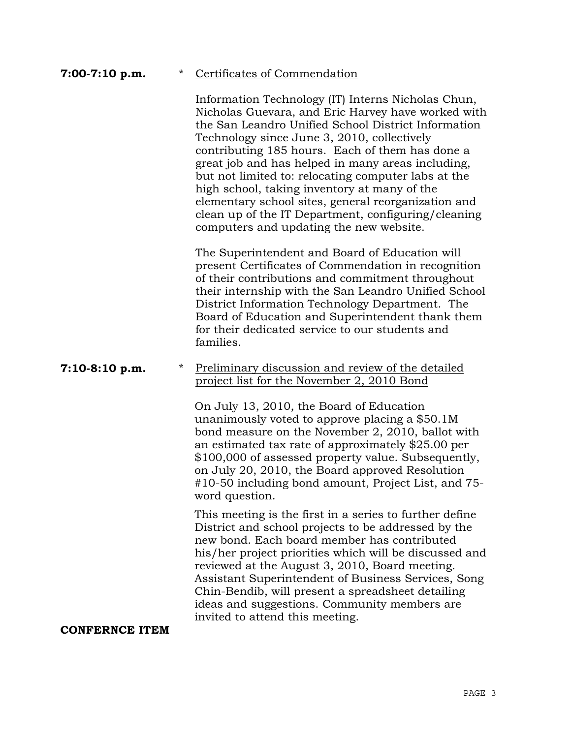# **7:00-7:10 p.m.** \* Certificates of Commendation

 Information Technology (IT) Interns Nicholas Chun, Nicholas Guevara, and Eric Harvey have worked with the San Leandro Unified School District Information Technology since June 3, 2010, collectively contributing 185 hours. Each of them has done a great job and has helped in many areas including, but not limited to: relocating computer labs at the high school, taking inventory at many of the elementary school sites, general reorganization and clean up of the IT Department, configuring/cleaning computers and updating the new website.

 The Superintendent and Board of Education will present Certificates of Commendation in recognition of their contributions and commitment throughout their internship with the San Leandro Unified School District Information Technology Department. The Board of Education and Superintendent thank them for their dedicated service to our students and families.

## **7:10-8:10 p.m.** \* Preliminary discussion and review of the detailed project list for the November 2, 2010 Bond

 On July 13, 2010, the Board of Education unanimously voted to approve placing a \$50.1M bond measure on the November 2, 2010, ballot with an estimated tax rate of approximately \$25.00 per \$100,000 of assessed property value. Subsequently, on July 20, 2010, the Board approved Resolution #10-50 including bond amount, Project List, and 75 word question.

 This meeting is the first in a series to further define District and school projects to be addressed by the new bond. Each board member has contributed his/her project priorities which will be discussed and reviewed at the August 3, 2010, Board meeting. Assistant Superintendent of Business Services, Song Chin-Bendib, will present a spreadsheet detailing ideas and suggestions. Community members are invited to attend this meeting.

**CONFERNCE ITEM**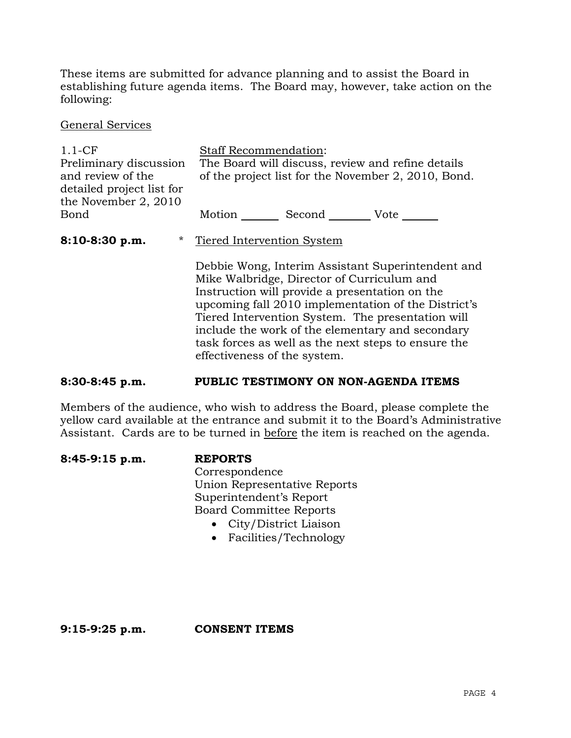These items are submitted for advance planning and to assist the Board in establishing future agenda items. The Board may, however, take action on the following:

General Services

1.1-CF Preliminary discussion and review of the detailed project list for the November 2, 2010 Bond Staff Recommendation: The Board will discuss, review and refine details of the project list for the November 2, 2010, Bond. Motion Second Vote \_\_\_\_\_\_ **8:10-8:30 p.m.** \* Tiered Intervention System Debbie Wong, Interim Assistant Superintendent and Mike Walbridge, Director of Curriculum and Instruction will provide a presentation on the upcoming fall 2010 implementation of the District's Tiered Intervention System. The presentation will include the work of the elementary and secondary task forces as well as the next steps to ensure the effectiveness of the system.

## **8:30-8:45 p.m. PUBLIC TESTIMONY ON NON-AGENDA ITEMS**

Members of the audience, who wish to address the Board, please complete the yellow card available at the entrance and submit it to the Board's Administrative Assistant. Cards are to be turned in before the item is reached on the agenda.

| $8:45-9:15$ p.m. | <b>REPORTS</b>                 |
|------------------|--------------------------------|
|                  | Correspondence                 |
|                  | Union Representative Reports   |
|                  | Superintendent's Report        |
|                  | <b>Board Committee Reports</b> |
|                  | • City/District Liaison        |

Facilities/Technology

**9:15-9:25 p.m. CONSENT ITEMS**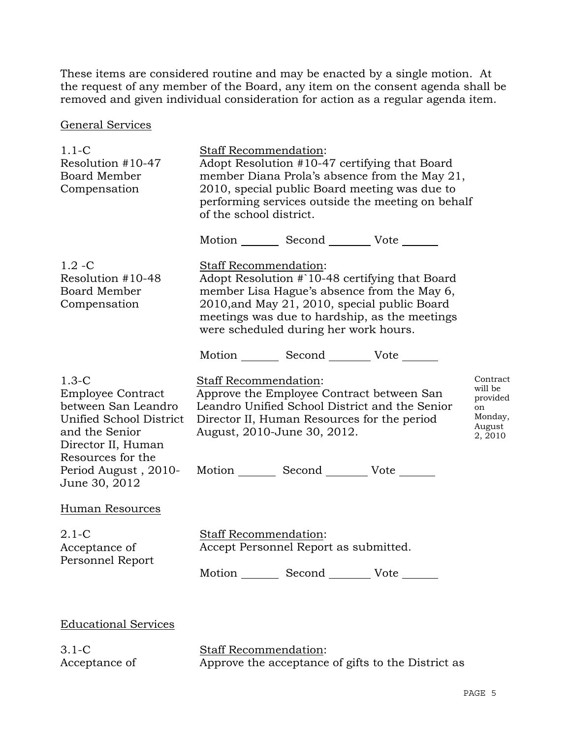These items are considered routine and may be enacted by a single motion. At the request of any member of the Board, any item on the consent agenda shall be removed and given individual consideration for action as a regular agenda item.

General Services

| $1.1-C$<br>Resolution #10-47<br>Board Member<br>Compensation                                                                                                                                | Staff Recommendation:<br>Adopt Resolution #10-47 certifying that Board<br>member Diana Prola's absence from the May 21,<br>2010, special public Board meeting was due to<br>performing services outside the meeting on behalf<br>of the school district.         |                                                                       |  |
|---------------------------------------------------------------------------------------------------------------------------------------------------------------------------------------------|------------------------------------------------------------------------------------------------------------------------------------------------------------------------------------------------------------------------------------------------------------------|-----------------------------------------------------------------------|--|
|                                                                                                                                                                                             | Motion _________ Second __________ Vote _______                                                                                                                                                                                                                  |                                                                       |  |
| $1.2 - C$<br>Resolution #10-48<br><b>Board Member</b><br>Compensation                                                                                                                       | Staff Recommendation:<br>Adopt Resolution #`10-48 certifying that Board<br>member Lisa Hague's absence from the May 6,<br>2010, and May 21, 2010, special public Board<br>meetings was due to hardship, as the meetings<br>were scheduled during her work hours. |                                                                       |  |
|                                                                                                                                                                                             | Motion _________ Second __________ Vote _______                                                                                                                                                                                                                  |                                                                       |  |
| $1.3-C$<br><b>Employee Contract</b><br>between San Leandro<br>Unified School District<br>and the Senior<br>Director II, Human<br>Resources for the<br>Period August, 2010-<br>June 30, 2012 | <b>Staff Recommendation:</b><br>Approve the Employee Contract between San<br>Leandro Unified School District and the Senior<br>Director II, Human Resources for the period<br>August, 2010-June 30, 2012.<br>Motion Second Vote                                  | Contract<br>will be<br>provided<br>on<br>Monday,<br>August<br>2, 2010 |  |
| <b>Human Resources</b>                                                                                                                                                                      |                                                                                                                                                                                                                                                                  |                                                                       |  |
| $2.1-C$<br>Acceptance of<br>Personnel Report                                                                                                                                                | Staff Recommendation:<br>Accept Personnel Report as submitted.<br>Motion _________ Second __________ Vote _______                                                                                                                                                |                                                                       |  |
| <b>Educational Services</b>                                                                                                                                                                 |                                                                                                                                                                                                                                                                  |                                                                       |  |
| $3.1-C$                                                                                                                                                                                     | Staff Recommendation:                                                                                                                                                                                                                                            |                                                                       |  |

Staff Recommendation: Approve the acceptance of gifts to the District as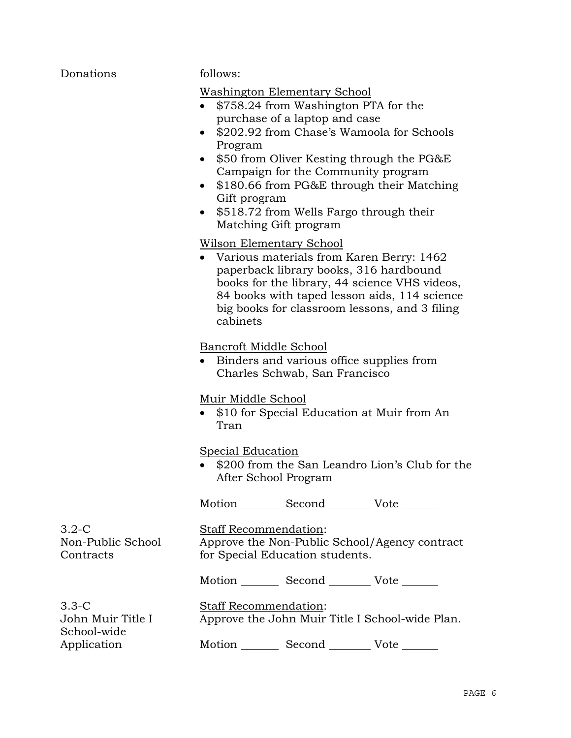| Donations                                     | follows:                                                                                                                                                                                                                                                                                                                                                                                                                                     |  |  |
|-----------------------------------------------|----------------------------------------------------------------------------------------------------------------------------------------------------------------------------------------------------------------------------------------------------------------------------------------------------------------------------------------------------------------------------------------------------------------------------------------------|--|--|
|                                               | <b>Washington Elementary School</b><br>\$758.24 from Washington PTA for the<br>purchase of a laptop and case<br>\$202.92 from Chase's Wamoola for Schools<br>$\bullet$<br>Program<br>\$50 from Oliver Kesting through the PG&E<br>$\bullet$<br>Campaign for the Community program<br>\$180.66 from PG&E through their Matching<br>$\bullet$<br>Gift program<br>\$518.72 from Wells Fargo through their<br>$\bullet$<br>Matching Gift program |  |  |
|                                               | Wilson Elementary School<br>• Various materials from Karen Berry: 1462<br>paperback library books, 316 hardbound<br>books for the library, 44 science VHS videos,<br>84 books with taped lesson aids, 114 science<br>big books for classroom lessons, and 3 filing<br>cabinets                                                                                                                                                               |  |  |
|                                               | Bancroft Middle School<br>Binders and various office supplies from<br>$\bullet$<br>Charles Schwab, San Francisco                                                                                                                                                                                                                                                                                                                             |  |  |
|                                               | Muir Middle School<br>\$10 for Special Education at Muir from An<br>Tran                                                                                                                                                                                                                                                                                                                                                                     |  |  |
|                                               | Special Education<br>\$200 from the San Leandro Lion's Club for the<br>After School Program                                                                                                                                                                                                                                                                                                                                                  |  |  |
|                                               | Motion Second Vote                                                                                                                                                                                                                                                                                                                                                                                                                           |  |  |
| $3.2-C$<br>Non-Public School<br>Contracts     | <b>Staff Recommendation:</b><br>Approve the Non-Public School/Agency contract<br>for Special Education students.                                                                                                                                                                                                                                                                                                                             |  |  |
|                                               | Motion _________ Second __________ Vote _______                                                                                                                                                                                                                                                                                                                                                                                              |  |  |
| $3.3 - C$<br>John Muir Title I<br>School-wide | Staff Recommendation:<br>Approve the John Muir Title I School-wide Plan.                                                                                                                                                                                                                                                                                                                                                                     |  |  |
| Application                                   | Second<br>Motion<br>Vote                                                                                                                                                                                                                                                                                                                                                                                                                     |  |  |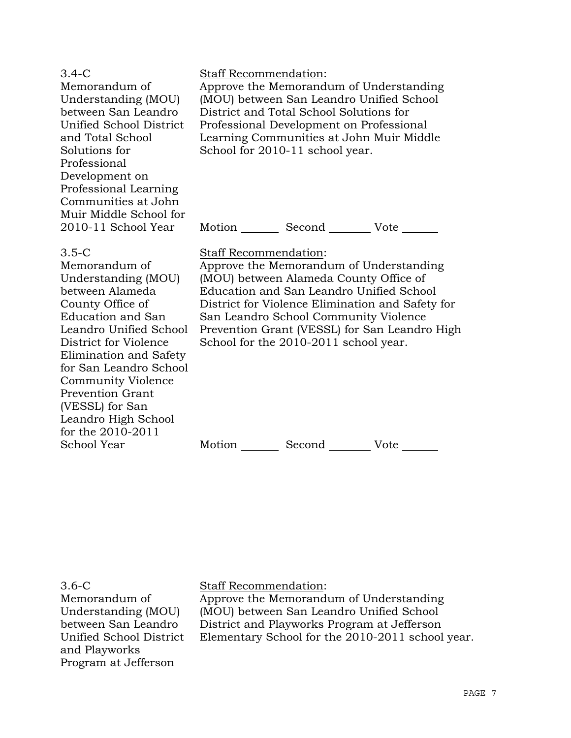| $3.4-C$<br>Memorandum of<br>Understanding (MOU)<br>between San Leandro<br>Unified School District<br>and Total School<br>Solutions for<br>Professional<br>Development on<br>Professional Learning<br>Communities at John<br>Muir Middle School for                                                                                        | Staff Recommendation:<br>Approve the Memorandum of Understanding<br>(MOU) between San Leandro Unified School<br>District and Total School Solutions for<br>Professional Development on Professional<br>Learning Communities at John Muir Middle<br>School for 2010-11 school year.                                                            |  |
|-------------------------------------------------------------------------------------------------------------------------------------------------------------------------------------------------------------------------------------------------------------------------------------------------------------------------------------------|-----------------------------------------------------------------------------------------------------------------------------------------------------------------------------------------------------------------------------------------------------------------------------------------------------------------------------------------------|--|
| 2010-11 School Year                                                                                                                                                                                                                                                                                                                       | Second Vote<br>Motion                                                                                                                                                                                                                                                                                                                         |  |
| $3.5-C$<br>Memorandum of<br>Understanding (MOU)<br>between Alameda<br>County Office of<br>Education and San<br>Leandro Unified School<br>District for Violence<br>Elimination and Safety<br>for San Leandro School<br><b>Community Violence</b><br><b>Prevention Grant</b><br>(VESSL) for San<br>Leandro High School<br>for the 2010-2011 | Staff Recommendation:<br>Approve the Memorandum of Understanding<br>(MOU) between Alameda County Office of<br>Education and San Leandro Unified School<br>District for Violence Elimination and Safety for<br>San Leandro School Community Violence<br>Prevention Grant (VESSL) for San Leandro High<br>School for the 2010-2011 school year. |  |

Motion Second Vote \_\_\_\_\_\_

3.6-C

School Year

Memorandum of Understanding (MOU) between San Leandro Unified School District and Playworks Program at Jefferson

Staff Recommendation:

Approve the Memorandum of Understanding (MOU) between San Leandro Unified School District and Playworks Program at Jefferson Elementary School for the 2010-2011 school year.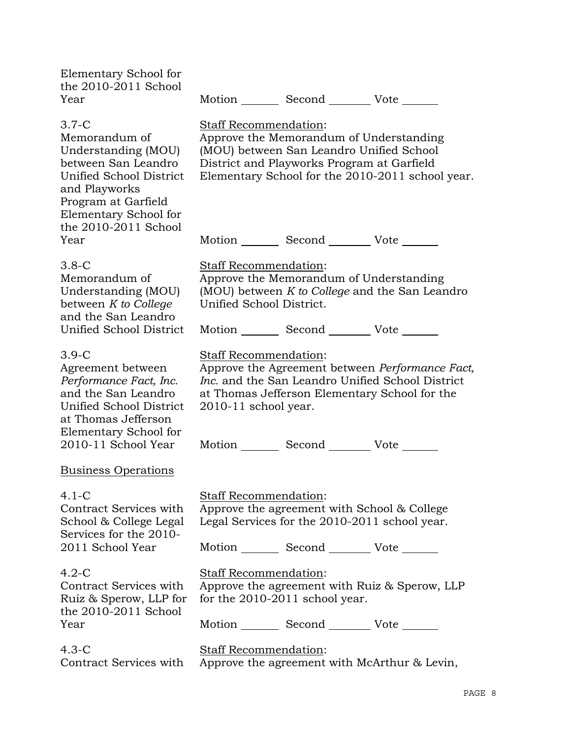| Elementary School for<br>the 2010-2011 School<br>Year                                                                                                                                                                                                                                   |                                                                                                                                                                                                                                                                  |                                  | Motion _________ Second __________ Vote _______                                                                                                                                       |  |
|-----------------------------------------------------------------------------------------------------------------------------------------------------------------------------------------------------------------------------------------------------------------------------------------|------------------------------------------------------------------------------------------------------------------------------------------------------------------------------------------------------------------------------------------------------------------|----------------------------------|---------------------------------------------------------------------------------------------------------------------------------------------------------------------------------------|--|
| $3.7-C$<br>Memorandum of<br>Understanding (MOU)<br>between San Leandro<br>Unified School District<br>and Playworks<br>Program at Garfield<br>Elementary School for<br>the 2010-2011 School                                                                                              | Staff Recommendation:                                                                                                                                                                                                                                            |                                  | Approve the Memorandum of Understanding<br>(MOU) between San Leandro Unified School<br>District and Playworks Program at Garfield<br>Elementary School for the 2010-2011 school year. |  |
| Year                                                                                                                                                                                                                                                                                    |                                                                                                                                                                                                                                                                  |                                  | Motion _________ Second __________ Vote _______                                                                                                                                       |  |
| $3.8-C$<br>Memorandum of<br>Understanding (MOU)<br>between K to College<br>and the San Leandro<br>Unified School District                                                                                                                                                               | <b>Staff Recommendation:</b><br>Unified School District.                                                                                                                                                                                                         |                                  | Approve the Memorandum of Understanding<br>(MOU) between K to College and the San Leandro<br>Motion _________ Second __________ Vote _______                                          |  |
| $3.9-C$<br>Agreement between<br>Performance Fact, Inc.<br>and the San Leandro<br>Unified School District<br>at Thomas Jefferson<br>Elementary School for<br>2010-11 School Year                                                                                                         | Staff Recommendation:<br>Approve the Agreement between Performance Fact,<br><i>Inc.</i> and the San Leandro Unified School District<br>at Thomas Jefferson Elementary School for the<br>$2010-11$ school year.<br>Motion _________ Second _________ Vote _______ |                                  |                                                                                                                                                                                       |  |
| <b>Business Operations</b>                                                                                                                                                                                                                                                              |                                                                                                                                                                                                                                                                  |                                  |                                                                                                                                                                                       |  |
| $4.1 - C$<br>Staff Recommendation:<br>Approve the agreement with School & College<br>Contract Services with<br>Legal Services for the 2010-2011 school year.<br>School & College Legal<br>Services for the 2010-<br>2011 School Year<br>Motion _________ Second __________ Vote _______ |                                                                                                                                                                                                                                                                  |                                  |                                                                                                                                                                                       |  |
|                                                                                                                                                                                                                                                                                         |                                                                                                                                                                                                                                                                  |                                  |                                                                                                                                                                                       |  |
| $4.2-C$<br>Contract Services with<br>Ruiz & Sperow, LLP for<br>the 2010-2011 School                                                                                                                                                                                                     | Staff Recommendation:                                                                                                                                                                                                                                            | for the $2010-2011$ school year. | Approve the agreement with Ruiz & Sperow, LLP                                                                                                                                         |  |
| Year                                                                                                                                                                                                                                                                                    |                                                                                                                                                                                                                                                                  |                                  | Motion _________ Second __________ Vote _______                                                                                                                                       |  |
| $4.3-C$<br>Contract Services with                                                                                                                                                                                                                                                       | Staff Recommendation:                                                                                                                                                                                                                                            |                                  | Approve the agreement with McArthur & Levin,                                                                                                                                          |  |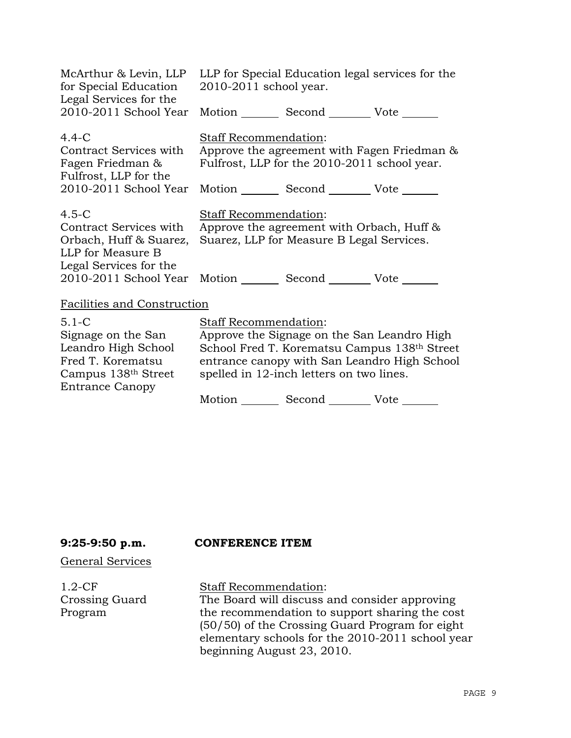| McArthur & Levin, LLP<br>for Special Education<br>Legal Services for the                                                                                                          | LLP for Special Education legal services for the<br>2010-2011 school year.                                                                        |                                                                                                               |                                                                                              |
|-----------------------------------------------------------------------------------------------------------------------------------------------------------------------------------|---------------------------------------------------------------------------------------------------------------------------------------------------|---------------------------------------------------------------------------------------------------------------|----------------------------------------------------------------------------------------------|
| 2010-2011 School Year                                                                                                                                                             |                                                                                                                                                   | Motion Second Vote ______                                                                                     |                                                                                              |
| $4.4 - C$<br>Contract Services with<br>Fagen Friedman &<br>Fulfrost, LLP for the<br>2010-2011 School Year                                                                         | <b>Staff Recommendation:</b><br>Approve the agreement with Fagen Friedman &<br>Fulfrost, LLP for the 2010-2011 school year.<br>Motion Second Vote |                                                                                                               |                                                                                              |
| $4.5-C$<br>Contract Services with<br>Orbach, Huff & Suarez,<br>LLP for Measure B<br>Legal Services for the<br>2010-2011 School Year Motion ________ Second _________ Vote _______ | <b>Staff Recommendation:</b>                                                                                                                      | Approve the agreement with Orbach, Huff &<br>Suarez, LLP for Measure B Legal Services.                        |                                                                                              |
| <b>Facilities and Construction</b>                                                                                                                                                |                                                                                                                                                   |                                                                                                               |                                                                                              |
| $5.1 - C$<br>Signage on the San<br>Leandro High School<br>Fred T. Korematsu<br>Campus 138 <sup>th</sup> Street<br><b>Entrance Canopy</b>                                          | <b>Staff Recommendation:</b>                                                                                                                      | Approve the Signage on the San Leandro High<br>spelled in 12-inch letters on two lines.<br>Motion Second Vote | School Fred T. Korematsu Campus 138th Street<br>entrance canopy with San Leandro High School |

# **9:25-9:50 p.m. CONFERENCE ITEM**

#### General Services

1.2-CF Crossing Guard Program

Staff Recommendation: The Board will discuss and consider approving the recommendation to support sharing the cost (50/50) of the Crossing Guard Program for eight elementary schools for the 2010-2011 school year beginning August 23, 2010.